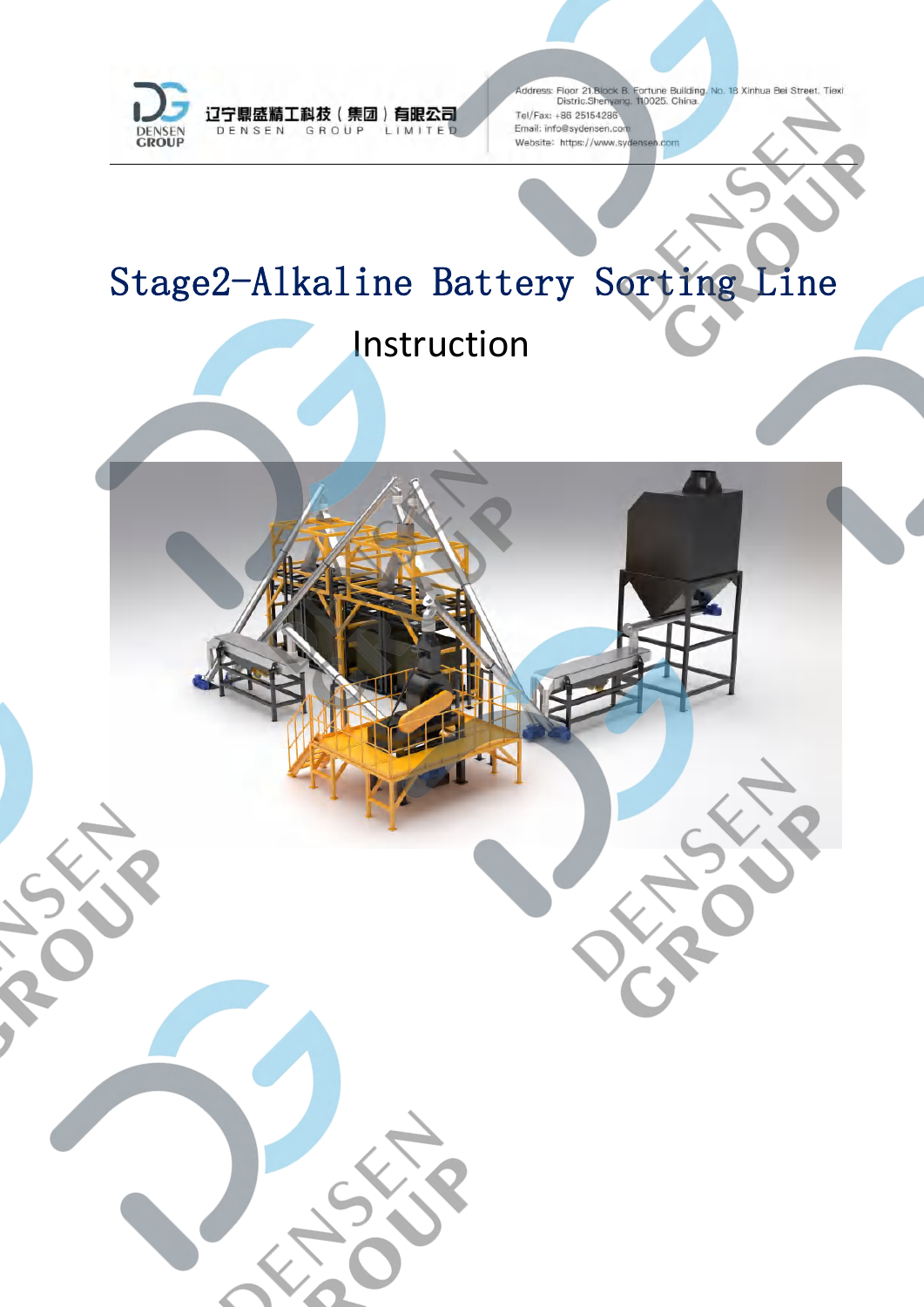

# Stage2-Alkaline Battery Sorting Line Instruction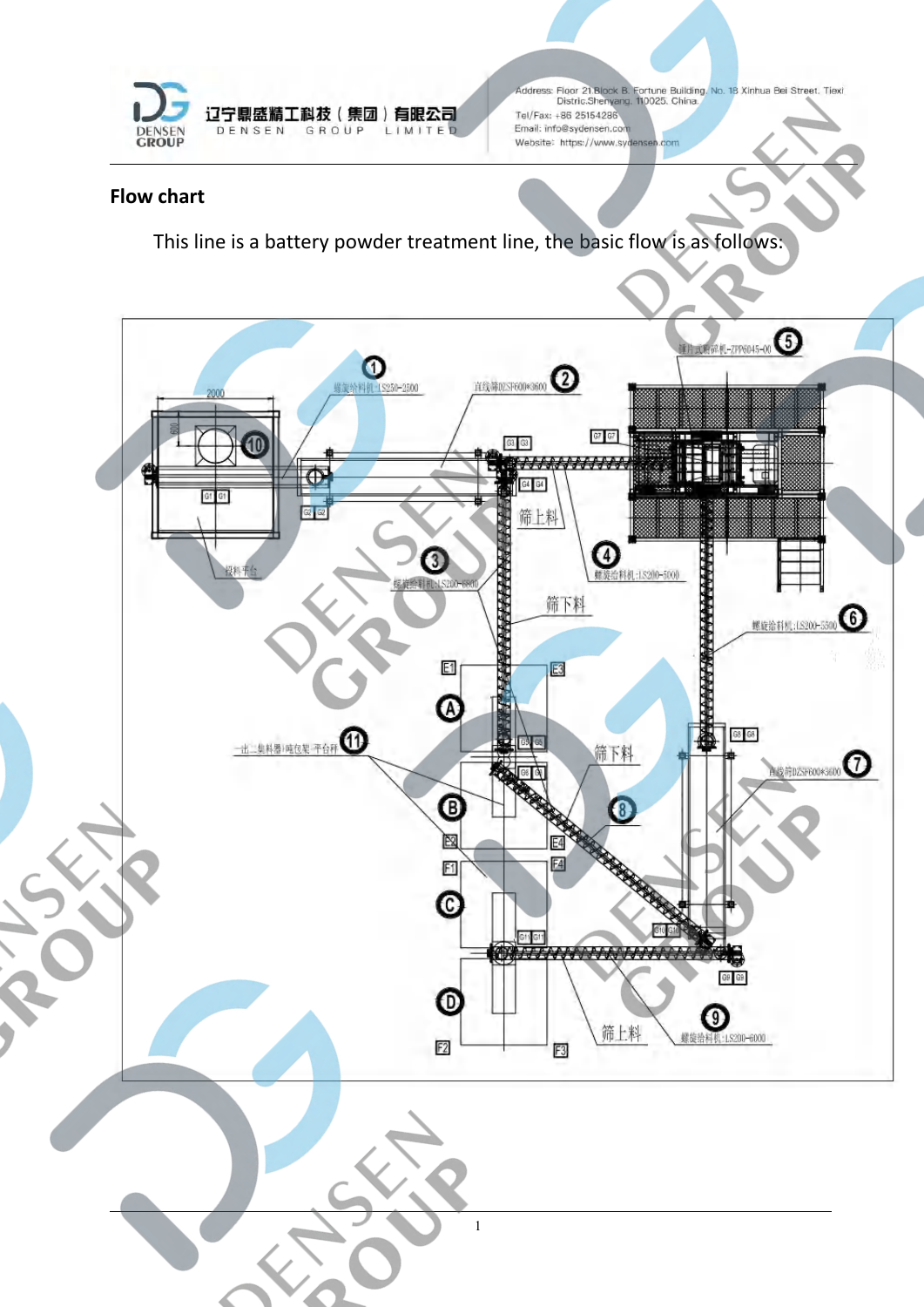

## **Flow chart**

This line is a battery powder treatment line, the basic flow is as follows:

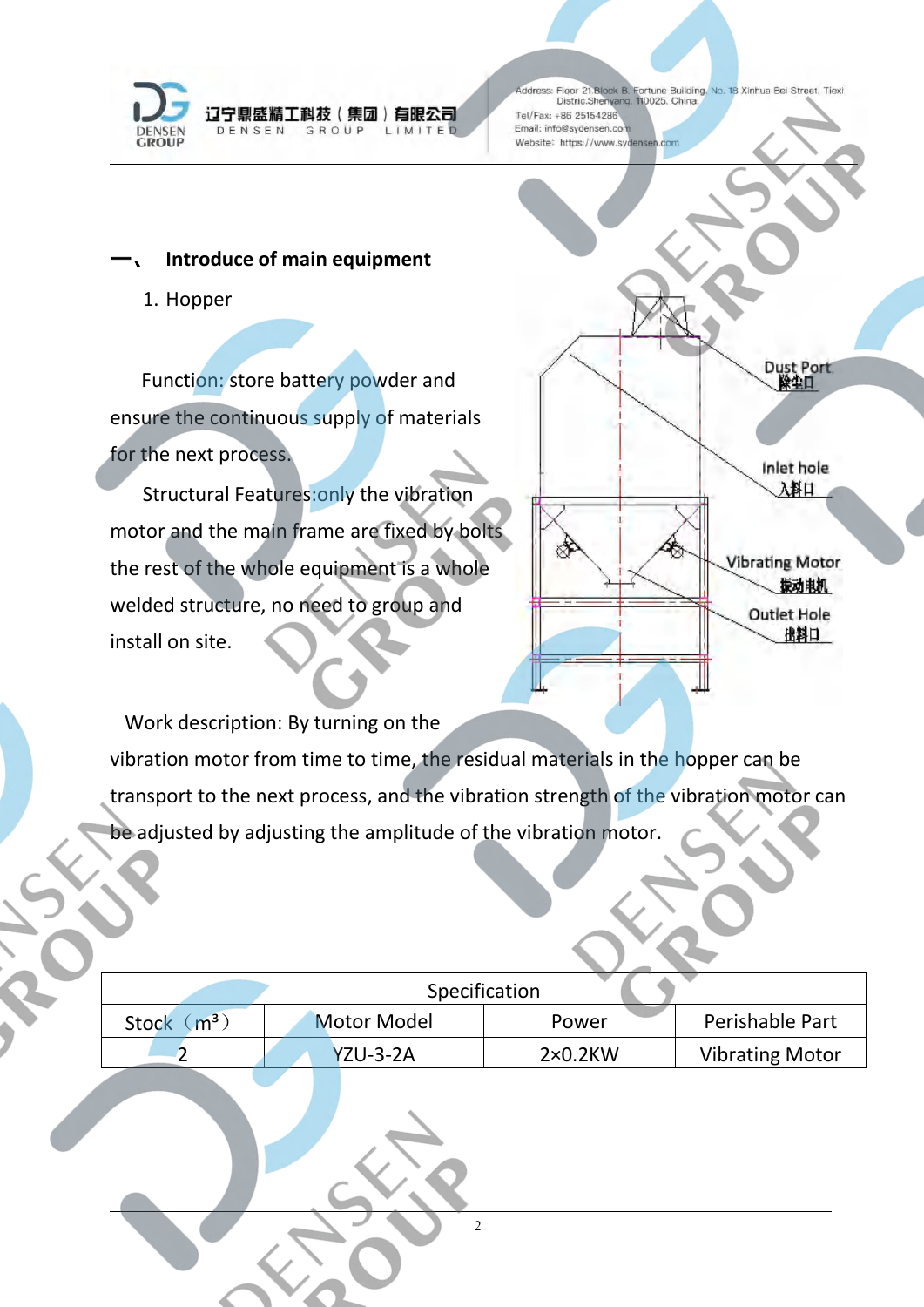

## **Introduce of main equipment**

1. Hopper

Function: store battery powder and ensure the continuous supply of materials for the next process.

Structural Features:only the vibration motor and the main frame are fixed by bolts the rest of the whole equipment is a whole welded structure, no need to group and install on site.



Work description: By turning on the vibration motor from time to time, the residual materials in the hopper can be transport to the next process, and the vibration strength of the vibration motor can be adjusted by adjusting the amplitude of the vibration motor.

|                                | Specification      |                 |  |                        |
|--------------------------------|--------------------|-----------------|--|------------------------|
| $\mathsf{m}^3$<br><b>Stock</b> | <b>Motor Model</b> | Power           |  | Perishable Part        |
|                                | <b>YZU-3-2A</b>    | $2\times0.2$ KW |  | <b>Vibrating Motor</b> |
|                                |                    |                 |  |                        |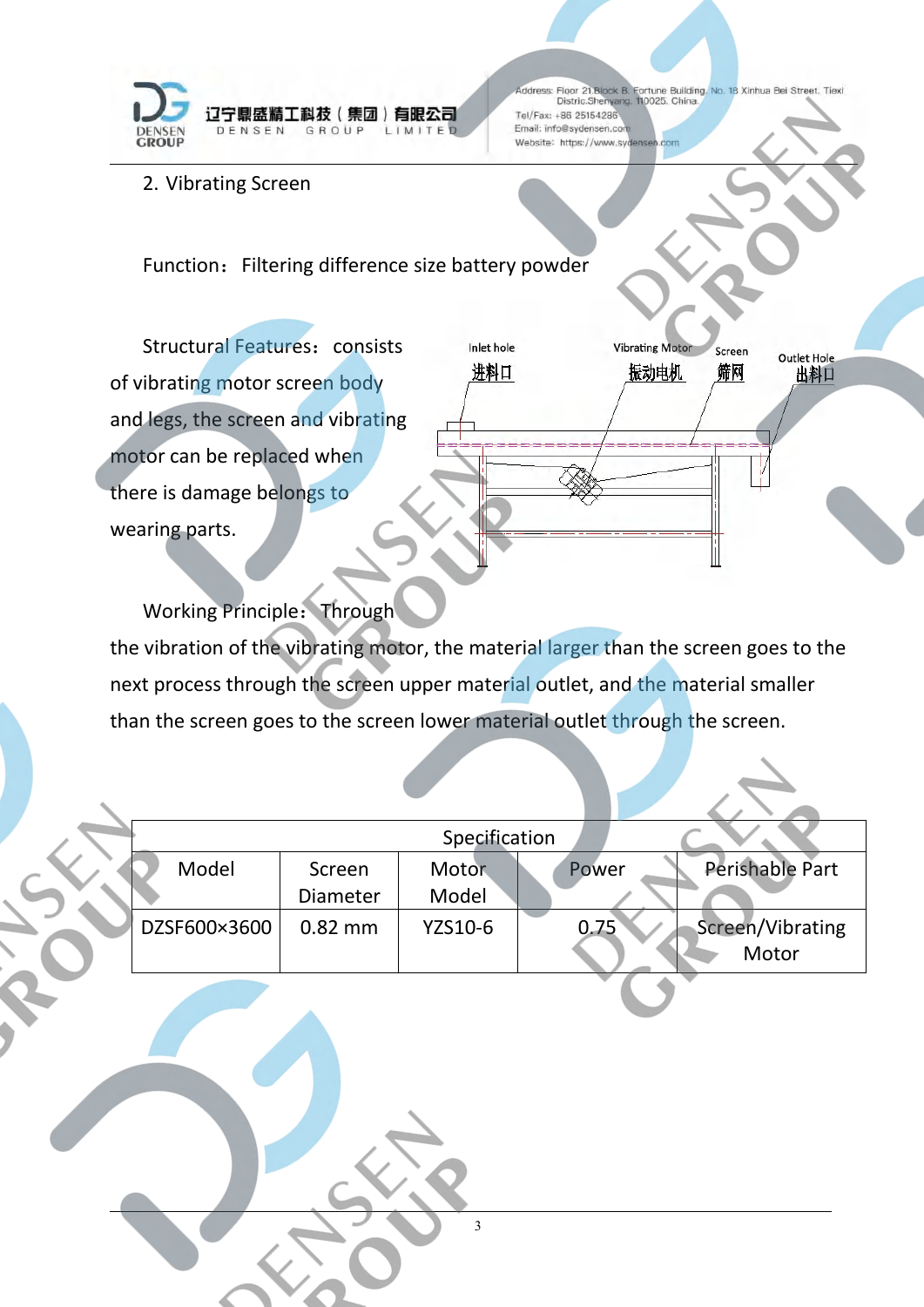

**Vibrating Moto** 

振动电机

Screen

筛网

Outlet Hole

出料口

2. Vibrating Screen

Function: Filtering difference size battery powder

Structural Features: consists Inlet hole of vibrating motor screen body  $\frac{\#H\Pi}{\#H\Pi}$ and legs, the screen and vibrating motor can be replaced when there is damage belongs to wearing parts.

Working Principle: Through the vibration of the vibrating motor, the material larger than the screen goes to the next process through the screen upper material outlet, and the material smaller than the screen goes to the screen lower material outlet through the screen.

|              |           | Specification |       |                  |
|--------------|-----------|---------------|-------|------------------|
| Model        | Screen    | Motor         | Power | Perishable Part  |
|              | Diameter  | Model         |       |                  |
| DZSF600×3600 | $0.82$ mm | YZS10-6       | 0.75  | Screen/Vibrating |
|              |           |               |       | Motor            |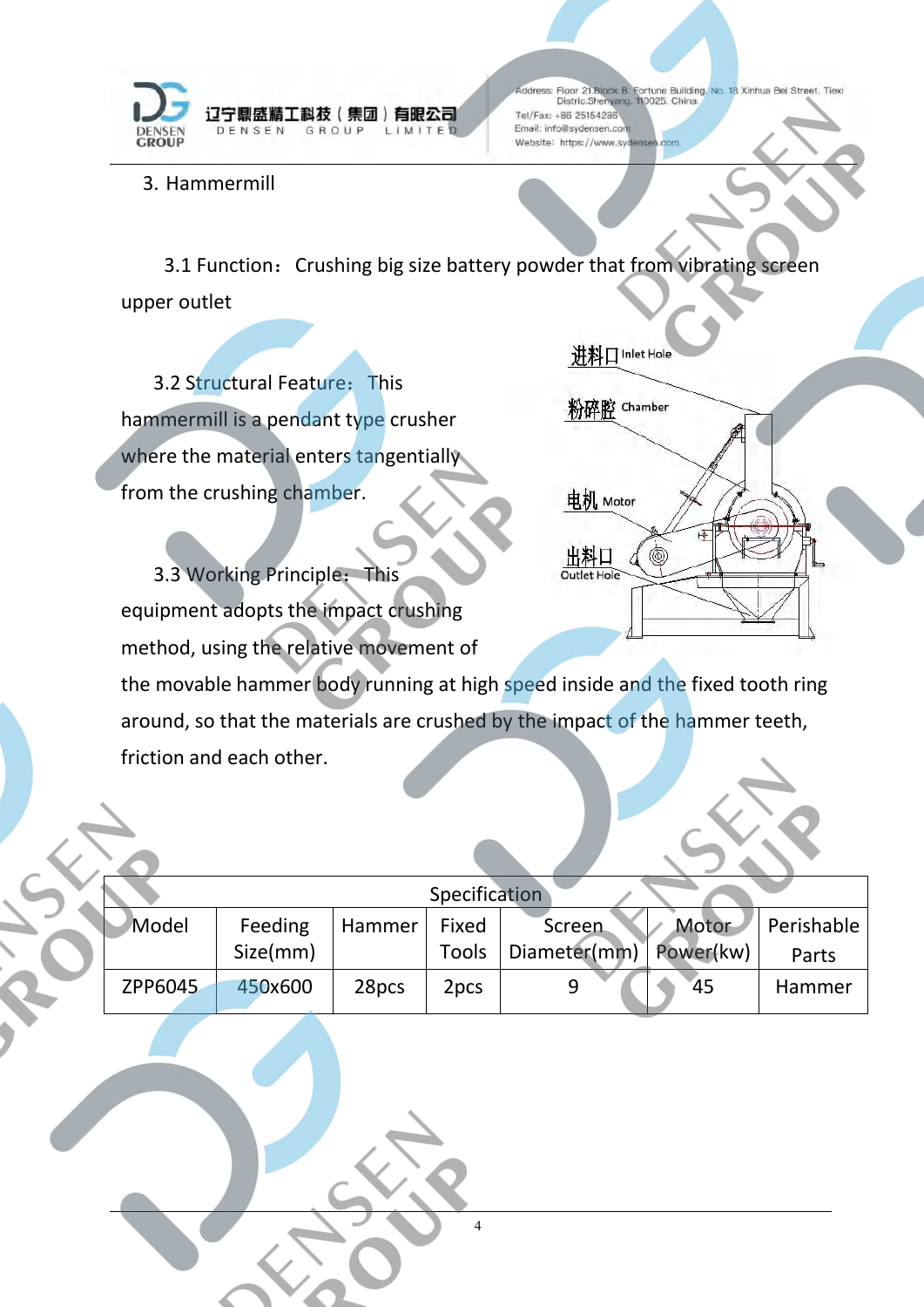

3. Hammermill

3.1 Function: Crushing big size battery powder that from vibrating screen upper outlet

3.2 Structural Feature: This<br>amermill is a pendant time crusher hammermill is a pendant type crusher where the material enters tangentially from the crushing chamber.

讲料□ Inlet Hole



3.3 Working Principle: This equipment adopts the impact crushing method, using the relative movement of

the movable hammer body running at high speed inside and the fixed tooth ring around, so that the materials are crushed by the impact of the hammer teeth, friction and each other.

|         |          |        | Specification |              |           |            |
|---------|----------|--------|---------------|--------------|-----------|------------|
| Model   | Feeding  | Hammer | Fixed         | Screen       | Motor     | Perishable |
|         | Size(mm) |        | Tools         | Diameter(mm) | Power(kw) | Parts      |
| ZPP6045 | 450x600  | 28pcs  | 2pcs          |              | 45        | Hammer     |
|         |          |        |               |              |           |            |

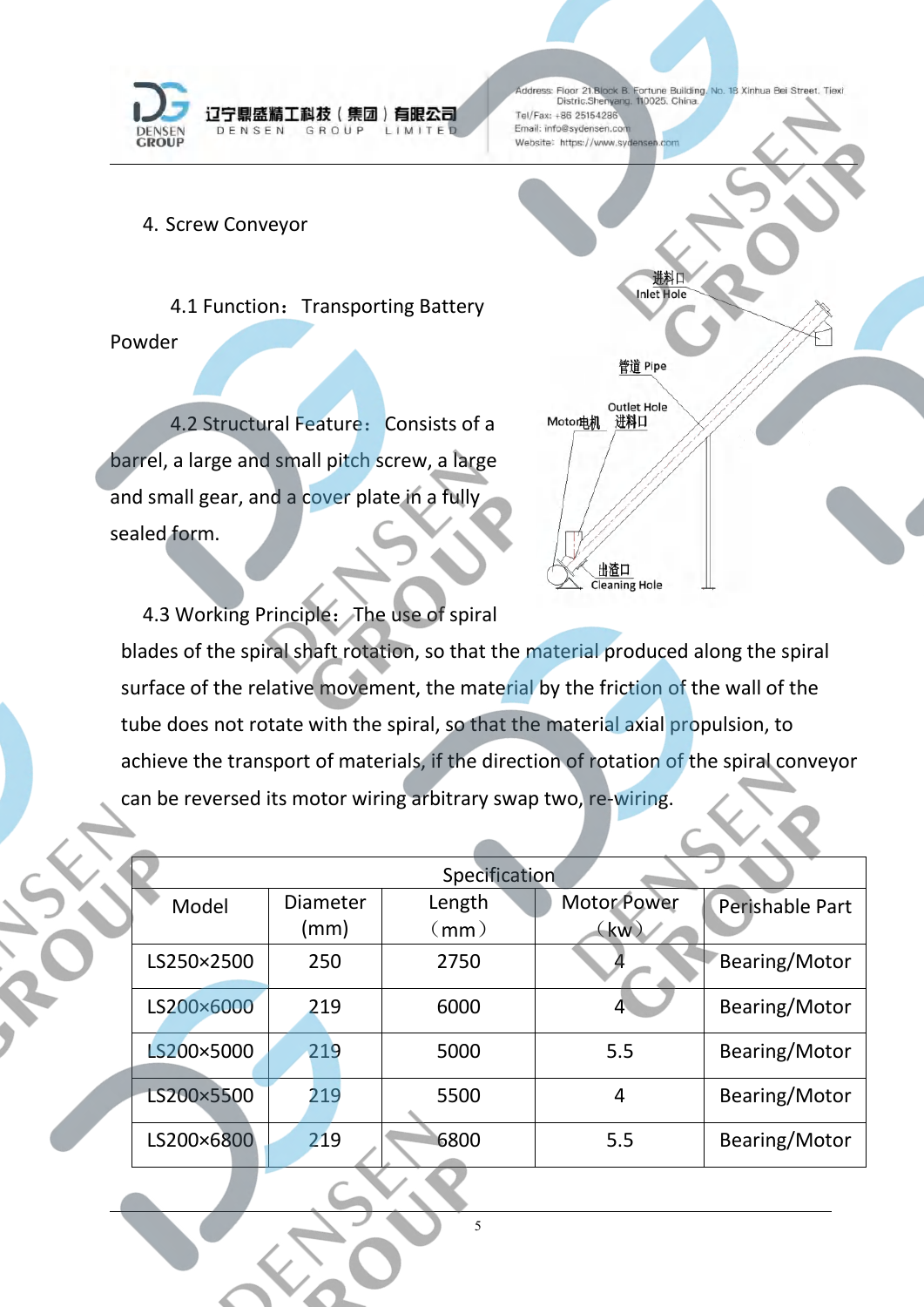

4. Screw Conveyor

4.1 Function: Transporting Battery Powder

outlet Hole<br>4.2 Structural Feature: Consists of a Moton电机 进科口 barrel, a large and small pitch screw, a large and small gear, and a cover plate in a fully sealed form.



4.3 Working Principle: The use of spiral

blades of the spiral shaft rotation, so that the material produced along the spiral surface of the relative movement, the material by the friction of the wall of the tube does not rotate with the spiral, so that the material axial propulsion, to achieve the transport of materials, if the direction of rotation of the spiral conveyor can be reversed its motor wiring arbitrary swap two, re-wiring.

| Specification            |      |                                       |                    |                 |  |  |
|--------------------------|------|---------------------------------------|--------------------|-----------------|--|--|
| <b>Diameter</b><br>Model |      | Length                                | <b>Motor Power</b> | Perishable Part |  |  |
|                          | (mm) | $\mathsf{\langle \mathsf{mm}\rangle}$ | (kw)               |                 |  |  |
| LS250×2500               | 250  | 2750                                  |                    | Bearing/Motor   |  |  |
| LS200×6000               | 219  | 6000                                  |                    | Bearing/Motor   |  |  |
| LS200×5000               | 219  | 5000                                  | 5.5                | Bearing/Motor   |  |  |
| LS200×5500               | 219  | 5500                                  | 4                  | Bearing/Motor   |  |  |
| LS200×6800               | 219  | 6800                                  | 5.5                | Bearing/Motor   |  |  |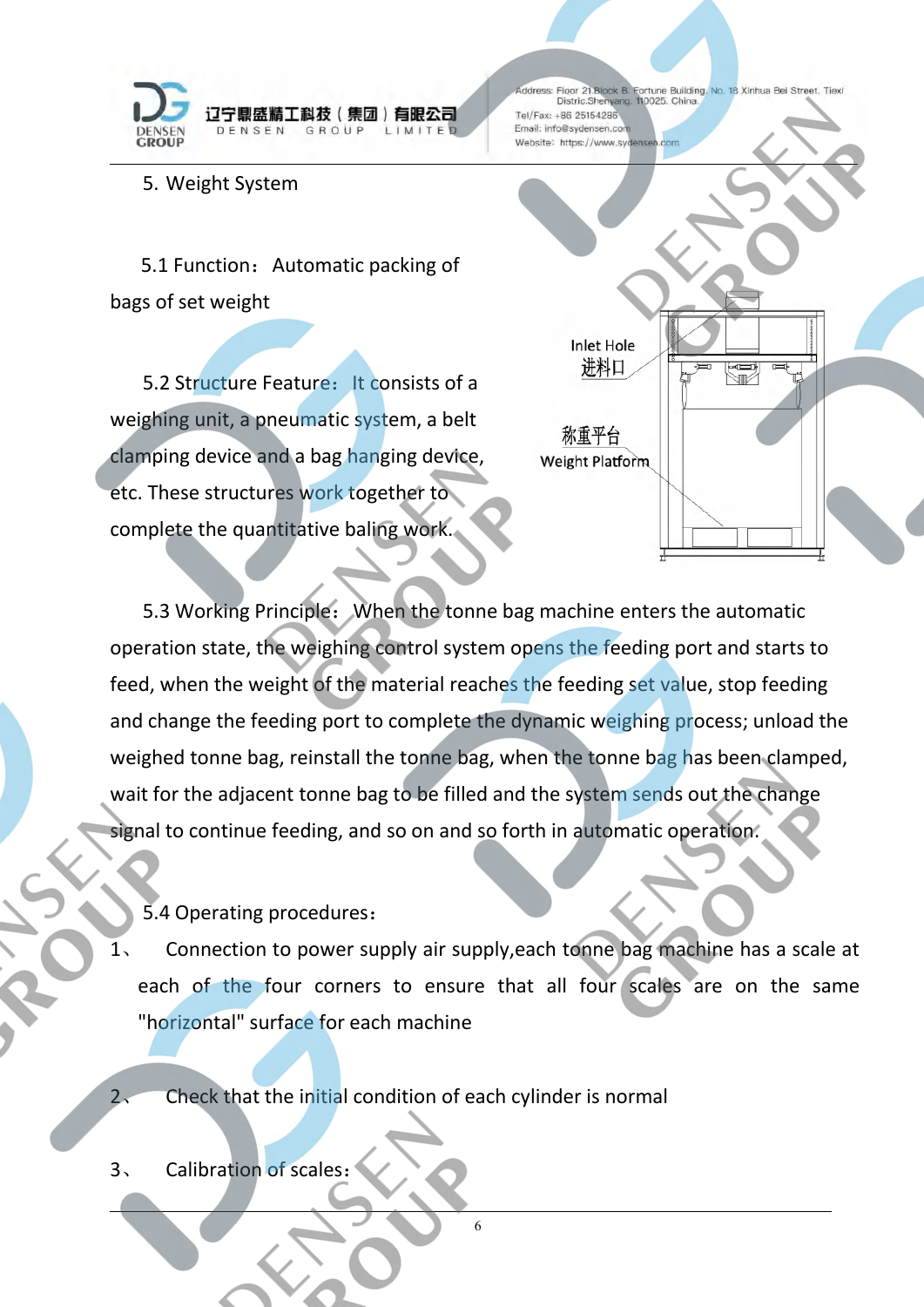

5. Weight System

5.1 Function: Automatic packing of bags of set weight

5.2 Structure Feature: It consists of a Texture is the United States of a Texture is a text of a Texture is a t weighing unit, a pneumatic system, a belt <br><br><br><br><br><br><br><br><br><br><br><br><br><br><br><br><br><br><br><br><br><br><br><br><br><br><br><br><br><br><br><br> clamping device and a bag hanging device, etc. These structures work together to complete the quantitative baling work.



5.3 Working Principle: When the tonne bag machine enters the automatic operation state, the weighing control system opens the feeding port and starts to feed, when the weight of the material reaches the feeding set value, stop feeding and change the feeding port to complete the dynamic weighing process; unload the weighed tonne bag, reinstall the tonne bag, when the tonne bag has been clamped, wait for the adjacent tonne bag to be filled and the system sends out the change signal to continue feeding, and so on and so forth in automatic operation.

5.4 Operating procedures:

Connection to power supply air supply, each tonne bag machine has a scale at each of the four corners to ensure that all four scales are on the same "horizontal" surface for each machine

6

2、 Check that the initial condition of each cylinder is normal

3、 Calibration of scales: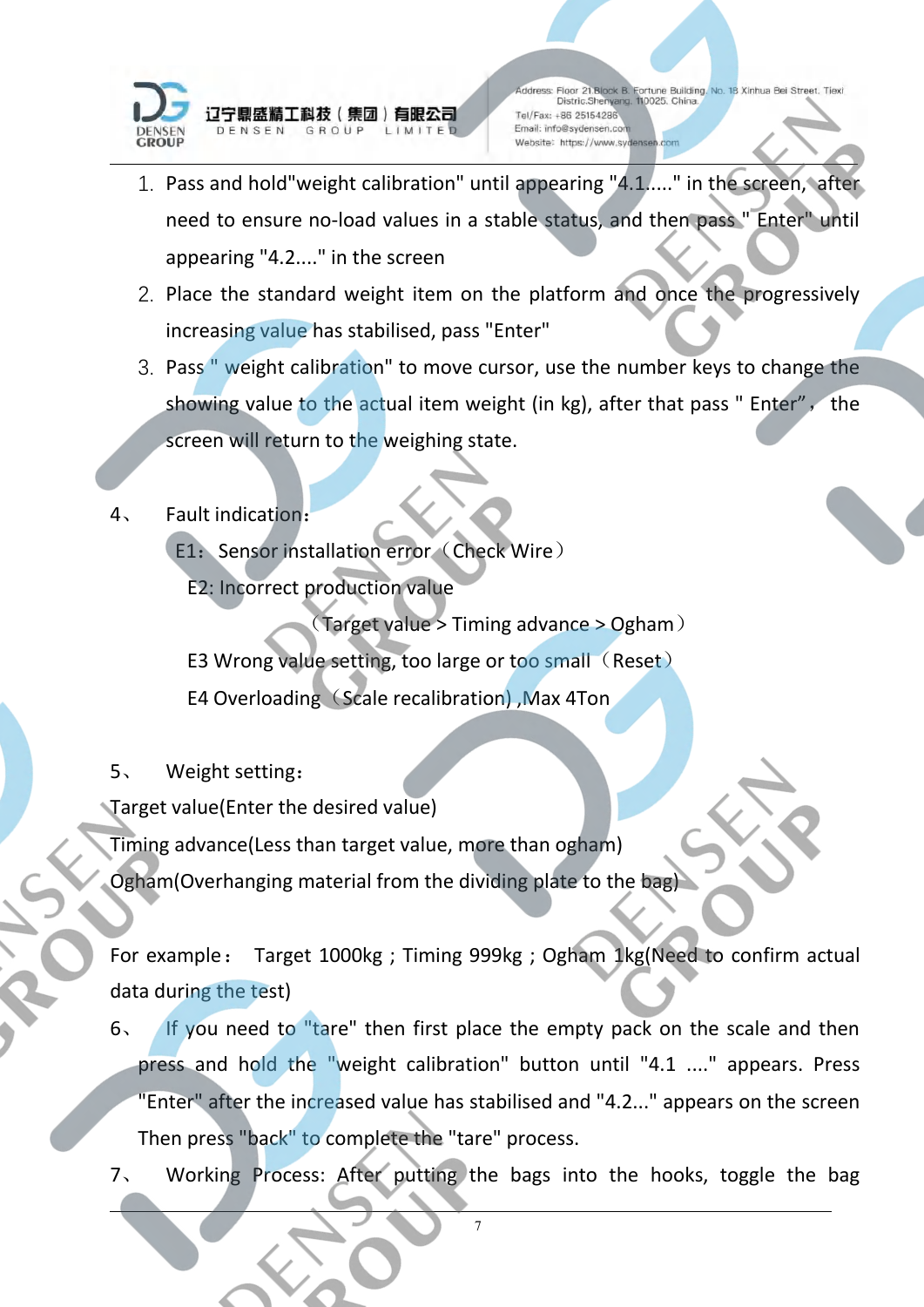

- 1. Pass and hold"weight calibration" until appearing "4.1....." in the screen, after need to ensure no-load values in a stable status, and then pass " Enter" until appearing "4.2...." in the screen
- 2. Place the standard weight item on the platform and once the progressively increasing value has stabilised, pass "Enter"
- 3. Pass " weight calibration" to move cursor, use the number keys to change the showing value to the actual item weight (in kg), after that pass " Enter", the screen will return to the weighing state.
- 4、 Fault indication:
	- E1: Sensor installation error (Check Wire)
	- E2: Incorrect production value

(Target value > Timing advance > Ogham)

- E3 Wrong value setting, too large or too small (Reset)
- E4 Overloading (Scale recalibration), Max 4Ton
- 5、 Weight setting:

Target value(Enter the desired value)

Timing advance(Less than target value, more than ogham)

Ogham(Overhanging material from the dividing plate to the bag)

For example: Target 1000kg ; Timing 999kg ; Ogham 1kg(Need to confirm actual data during the test)

- 6、 If you need to "tare" then first place the empty pack on the scale and then press and hold the "weight calibration" button until "4.1 ...." appears. Press "Enter" after the increased value has stabilised and "4.2..." appears on the screen Then press "back" to complete the "tare" process.
- 7. Working Process: After putting the bags into the hooks, toggle the bag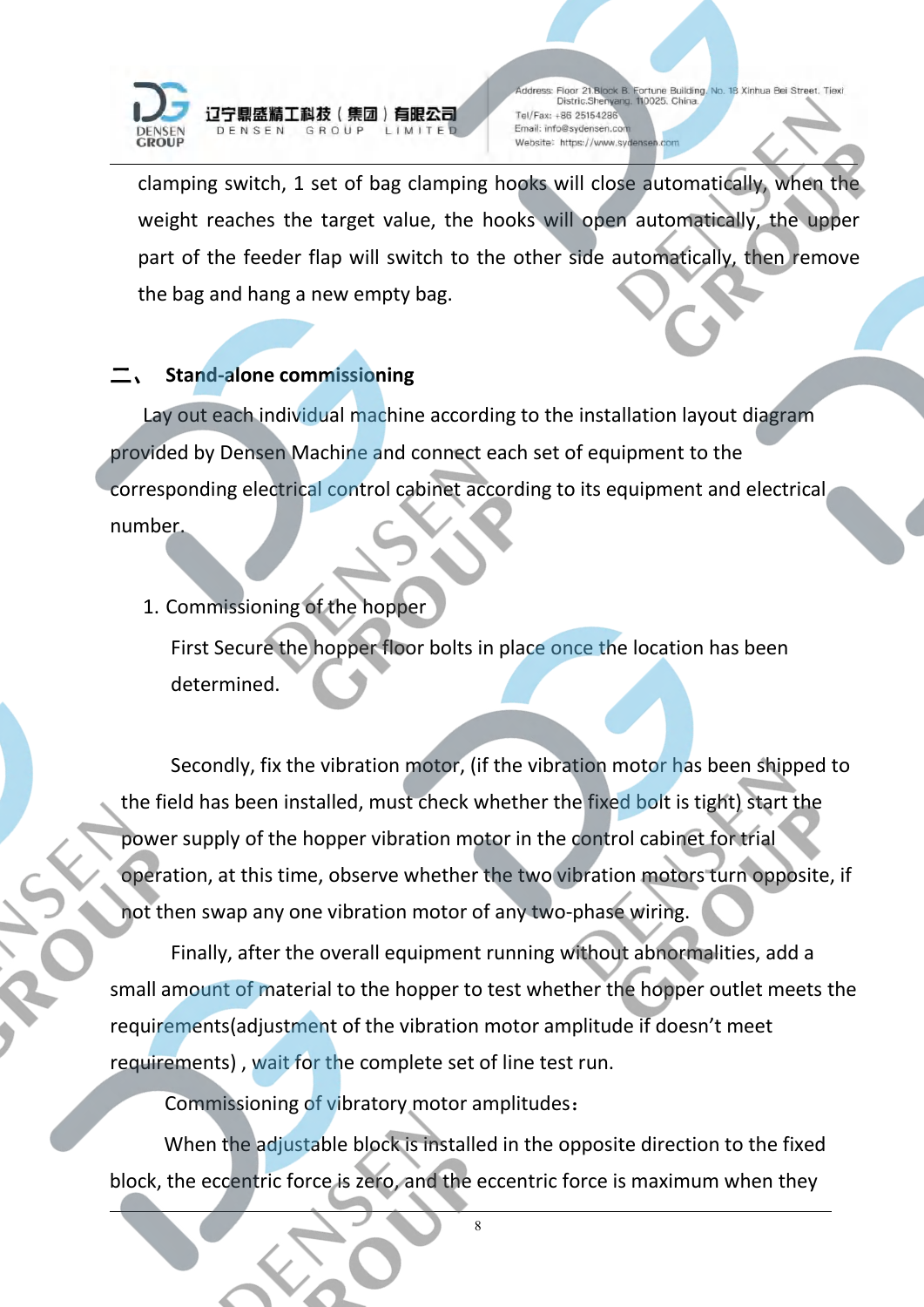

辽宁鼎盛精工科技(集团)有眼公司 DENSEN GROUP LIMITED

ddress: Floor 21. Block B. Fortune Building. No. 18 Xinhua Bei Street. Tiexi<br>Distric. Shenyang. 110025. China. Tel/Fax: +86 25154286 Email: info@sydensen.com Website: https://www.sydensen.com

clamping switch, 1 set of bag clamping hooks will close automatically, when the weight reaches the target value, the hooks will open automatically, the upper part of the feeder flap will switch to the other side automatically, then remove the bag and hang a new empty bag.

## 二、 **Stand-alone commissioning**

Lay out each individual machine according to the installation layout diagram provided by Densen Machine and connect each set of equipment to the corresponding electrical control cabinet according to its equipment and electrical number.

## 1. Commissioning of the hopper

First Secure the hopper floor bolts in place once the location has been determined.

Secondly, fix the vibration motor, (if the vibration motor has been shipped to the field has been installed, must check whether the fixed bolt is tight) start the power supply of the hopper vibration motor in the control cabinet for trial operation, at this time, observe whether the two vibration motors turn opposite, if not then swap any one vibration motor of any two-phase wiring.

Finally, after the overall equipment running without abnormalities, add a small amount of material to the hopper to test whether the hopper outlet meets the requirements(adjustment of the vibration motor amplitude if doesn't meet requirements) , wait for the complete set of line test run.

Commissioning of vibratory motor amplitudes:

When the adjustable block is installed in the opposite direction to the fixed block, the eccentric force is zero, and the eccentric force is maximum when they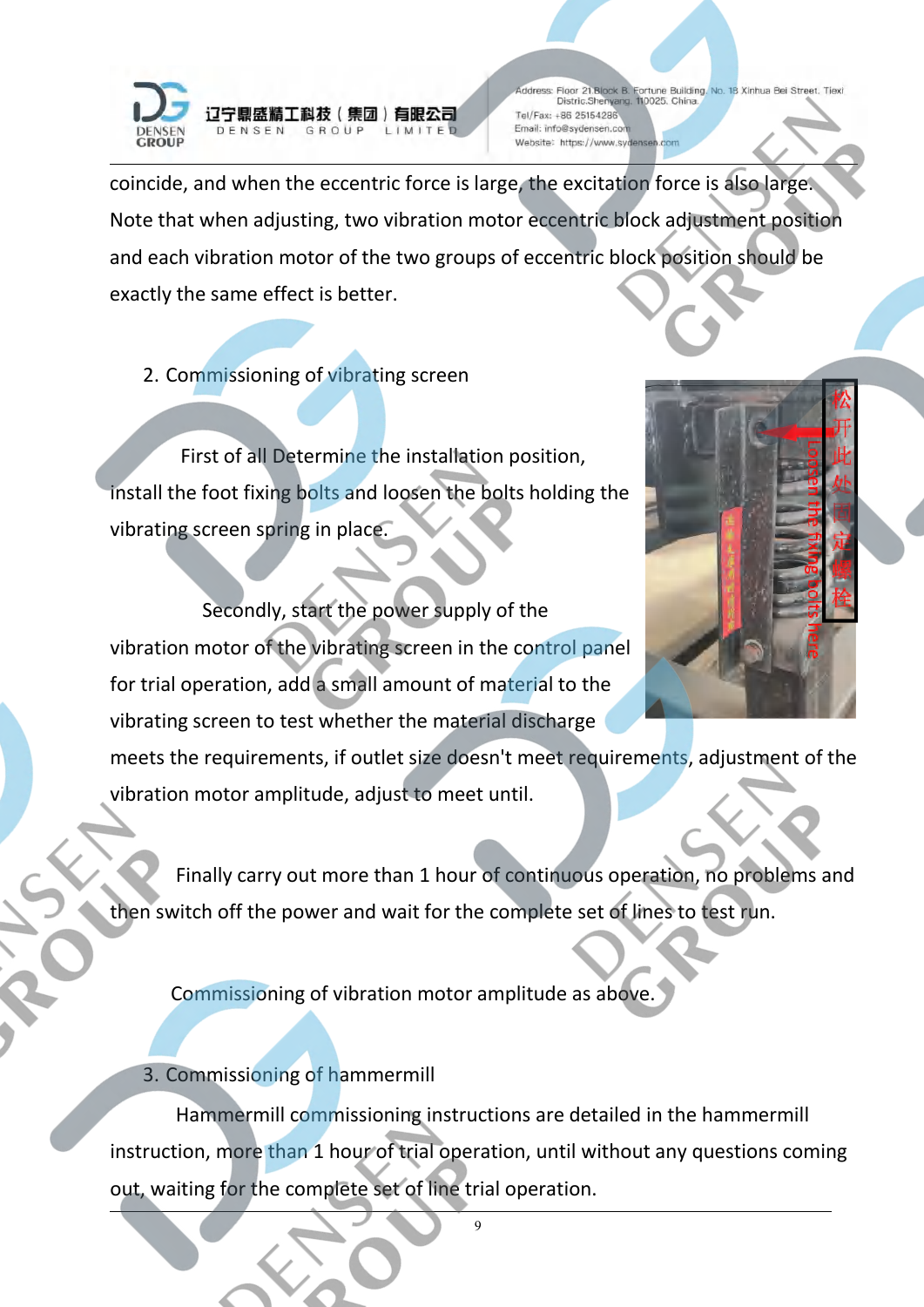

coincide, and when the eccentric force is large, the excitation force is also large. Note that when adjusting, two vibration motor eccentric block adjustment position and each vibration motor of the two groups of eccentric block position should be exactly the same effect is better.

2. Commissioning of vibrating screen

First of all Determine the installation position, install the foot fixing bolts and loosen the bolts holding the vibrating screen spring in place.

Secondly, start the power supply of the vibration motor of the vibrating screen in the control panel for trial operation, add a small amount of material to the vibrating screen to test whether the material discharge

meets the requirements, if outlet size doesn't meet requirements, adjustment of the vibration motor amplitude, adjust to meet until.

Finally carry out more than 1 hour of continuous operation, no problems and then switch off the power and wait for the complete set of lines to test run.

Commissioning of vibration motor amplitude as above.

3. Commissioning of hammermill

Hammermill commissioning instructions are detailed in the hammermill instruction, more than 1 hour of trial operation, until without any questions coming out, waiting for the complete set of line trial operation.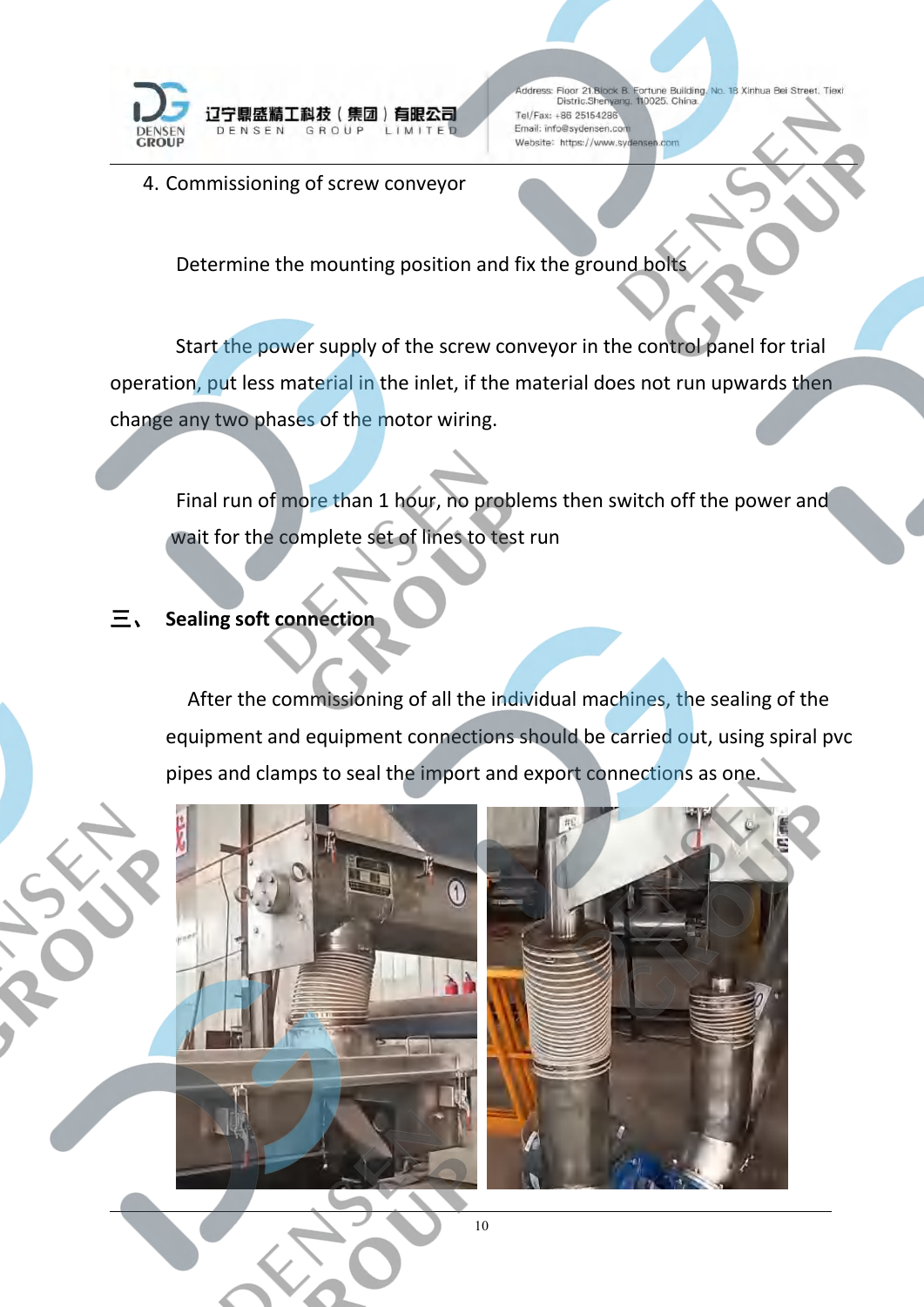

4. Commissioning of screw conveyor

Determine the mounting position and fix the ground bolts

Start the power supply of the screw conveyor in the control panel for trial operation, put less material in the inlet, if the material does not run upwards then change any two phases of the motor wiring.

Final run of more than 1 hour, no problems then switch off the power and wait for the complete set of lines to test run

## 三、 **Sealing soft connection**

After the commissioning of all the individual machines, the sealing of the equipment and equipment connections should be carried out, using spiral pvc pipes and clamps to seal the import and export connections as one.

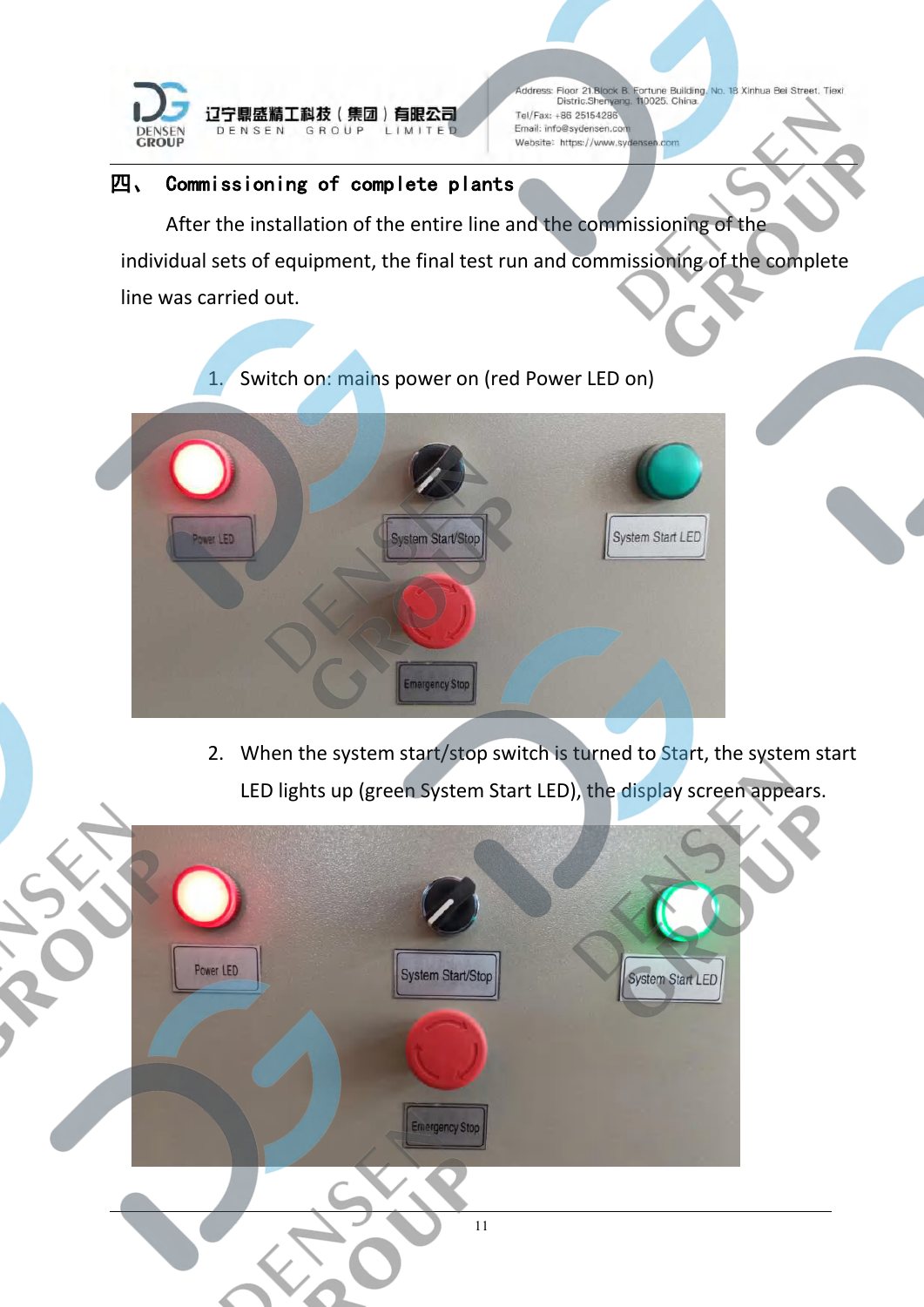

## 四、 Commissioning of complete plants

After the installation of the entire line and the commissioning of the individual sets of equipment, the final test run and commissioning of the complete line was carried out.

1. Switch on: mains power on (red Power LED on)



2. When the system start/stop switch is turned to Start, the system start LED lights up (green System Start LED), the display screen appears.

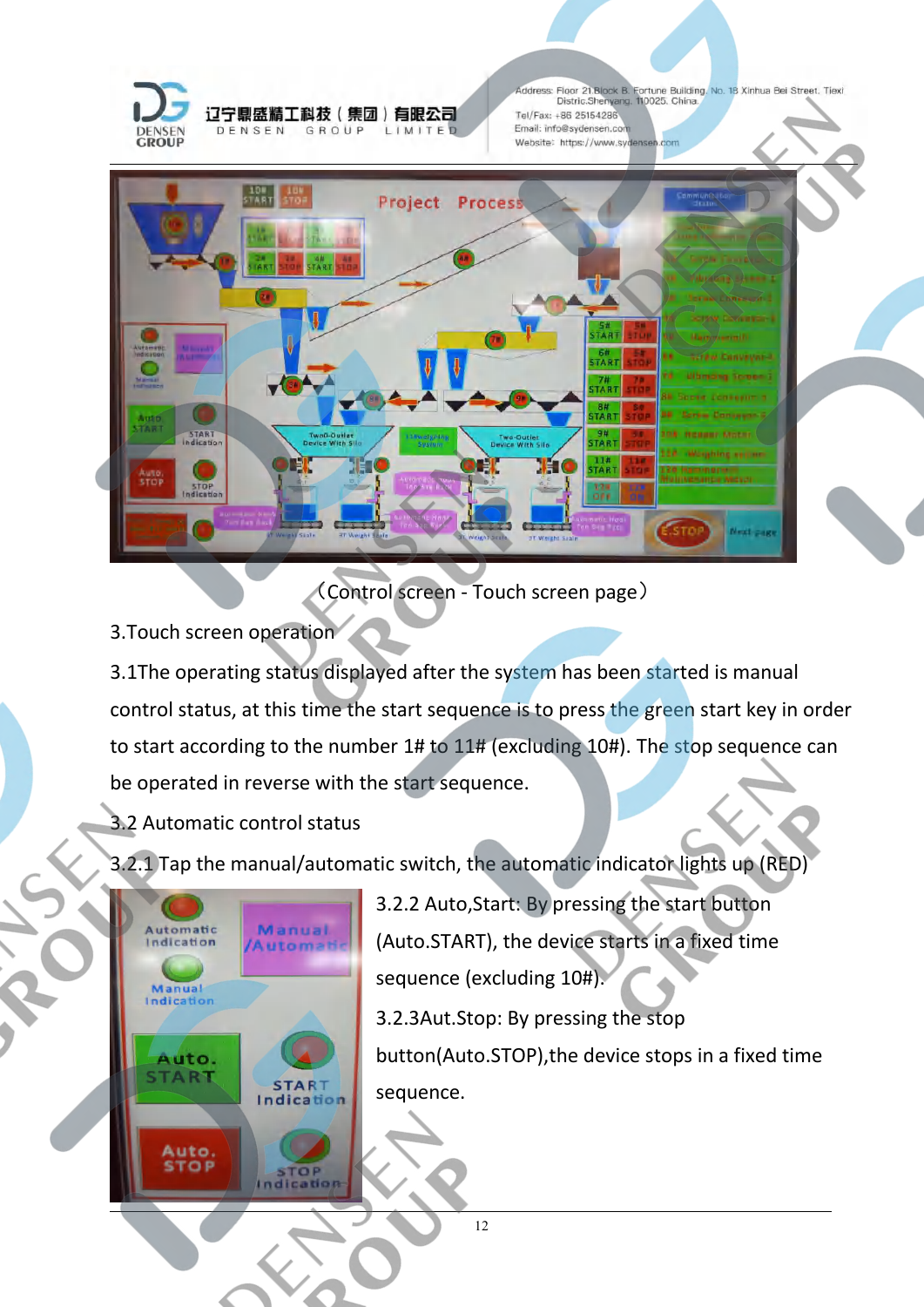



(Control screen - Touch screen page)

3.Touch screen operation

3.1The operating status displayed after the system has been started is manual control status, at this time the start sequence is to press the green start key in order to start according to the number 1# to 11# (excluding 10#). The stop sequence can be operated in reverse with the start sequence.

- 3.2 Automatic control status
- 3.2.1 Tap the manual/automatic switch, the automatic indicator lights up (RED)



3.2.2 Auto,Start: By pressing the start button (Auto.START), the device starts in a fixed time sequence (excluding 10#). 3.2.3Aut.Stop: By pressing the stop button(Auto.STOP),the device stops in a fixed time sequence.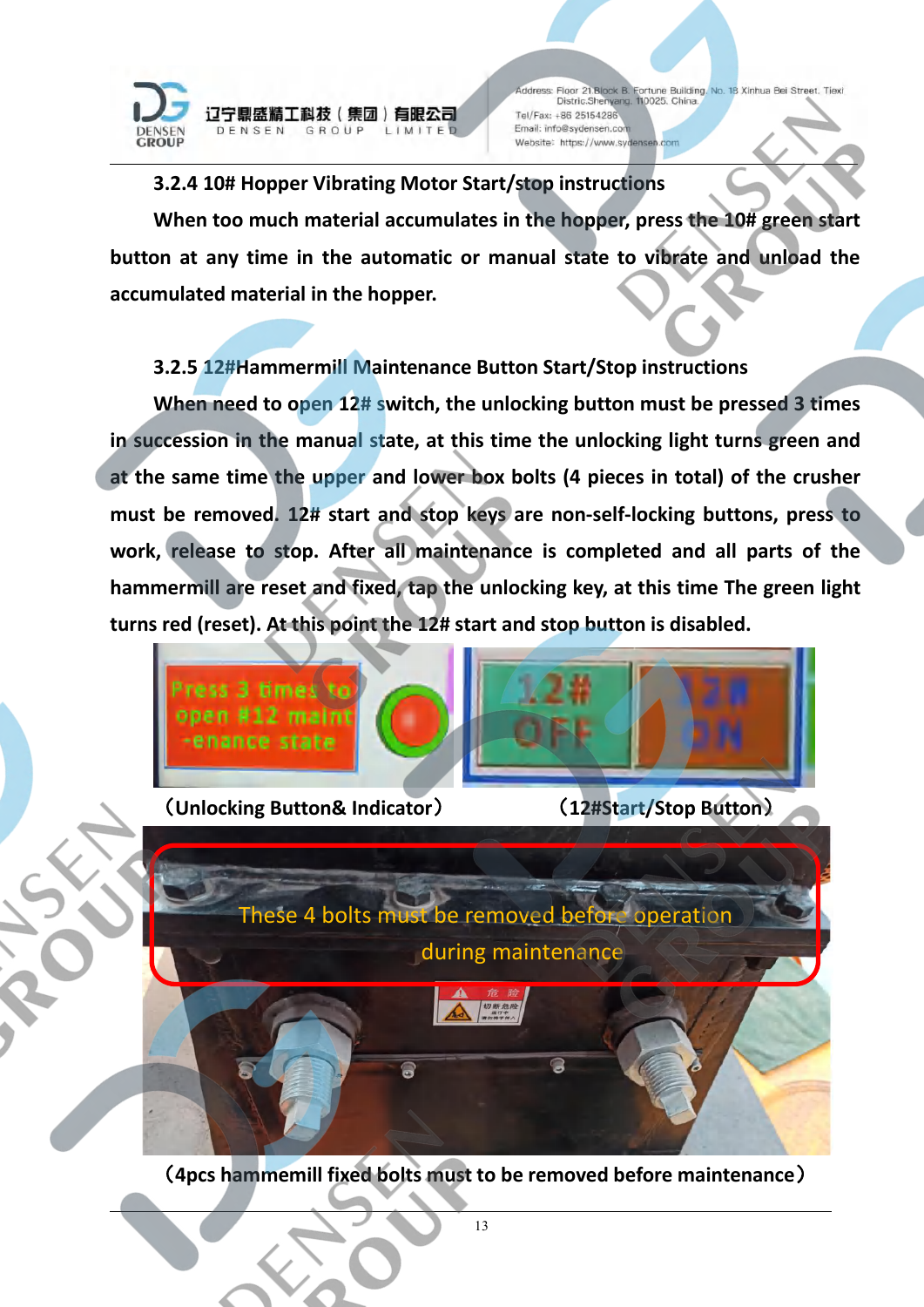

#### **3.2.4 10# Hopper Vibrating Motor Start/stop instructions**

**When too much material accumulates in the hopper, press the 10# green start button at any time in the automatic or manual state to vibrate and unload the accumulated material in the hopper.**

## **3.2.5 12#Hammermill Maintenance Button Start/Stop instructions**

**When need to open 12# switch, the unlocking button must be pressed 3 times in succession in the manual state, at this time the unlocking light turns green and at the same time the upper and lower box bolts (4 pieces in total) of the crusher must be removed. 12# start and stop keys are non-self-locking buttons, press to work, release to stop. After all maintenance is completed and all parts of the hammermill are reset and fixed, tap the unlocking key, at this time The green light turns red (reset). At this point the 12# start and stop button is disabled.**





These 4 bolts must be removed before operation during maintenance切断危 Q g

(**4pcs hammemill fixed bolts must to be removed before maintenance**)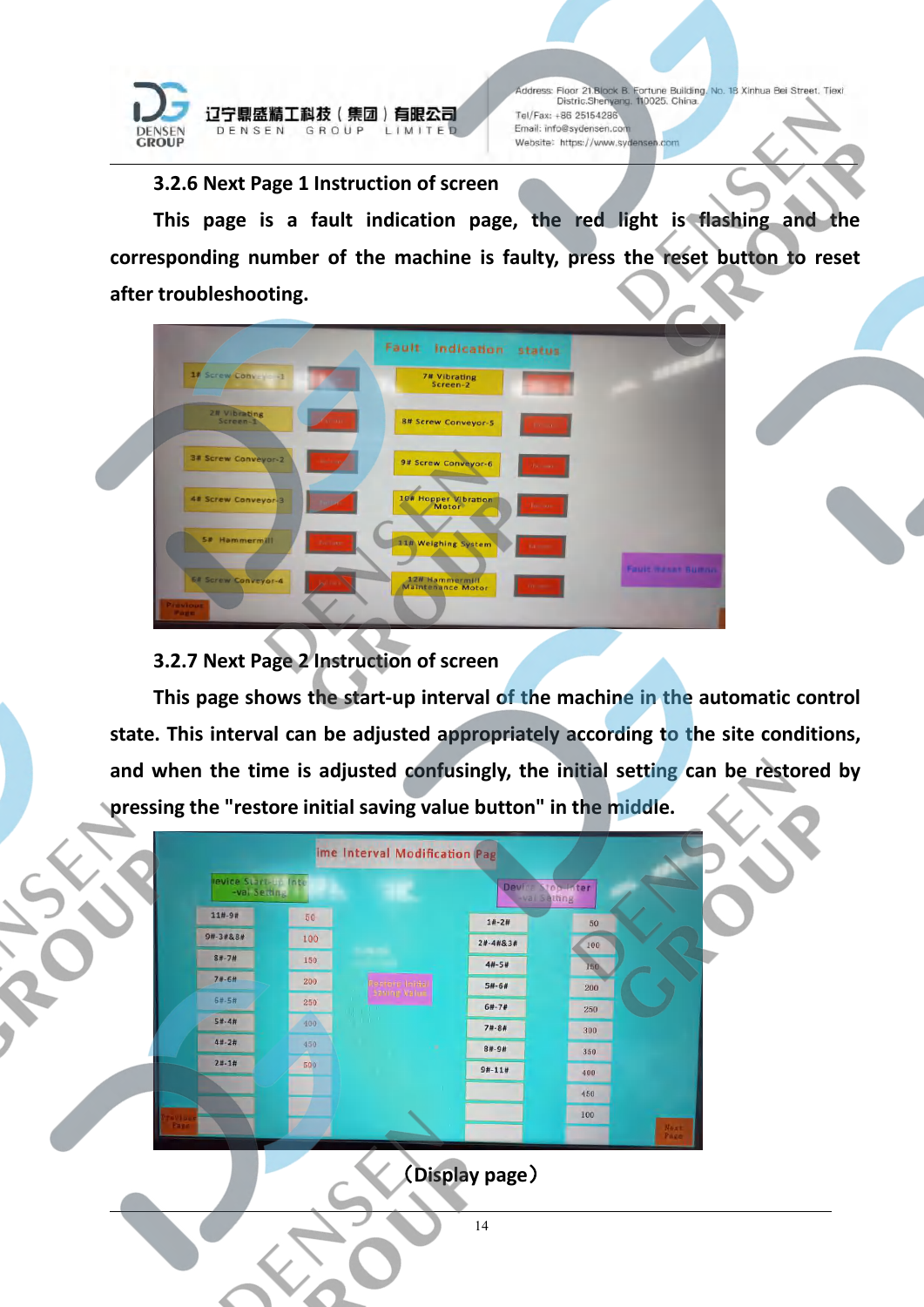

**3.2.6 Next Page 1 Instruction of screen**

**This page is a fault indication page, the red light is flashing and the corresponding number of the machine is faulty, press the reset button to reset after troubleshooting.**



**3.2.7 Next Page 2 Instruction of screen**

**This page shows the start-up interval of the machine in the automatic control state. This interval can be adjusted appropriately according to the site conditions, and when the time is adjusted confusingly, the initial setting can be restored by pressing the "restore initial saving value button" in the middle.**

|      | levice Start-th Inte<br>-val Setting |               |                                         |            | Device Stop Inter<br>-val Setting |  |
|------|--------------------------------------|---------------|-----------------------------------------|------------|-----------------------------------|--|
|      | $11# - 9#$                           | 50            |                                         | $1# - 2#$  | 50                                |  |
|      | 9#-3#&8#                             | 100           |                                         | 2#-4#&3#   | 100                               |  |
|      | $8# - 7#$                            | 150           |                                         | $4#-5#$    | 150                               |  |
|      | $74 - 64$                            | 200           | <b>Retroite Initial</b><br>Saning Value | $5# - 6#$  | 200                               |  |
|      | $6# - 5#$                            | $250^{\circ}$ |                                         | $6# - 7#$  | 250                               |  |
|      | $5#-4#$                              | 400           | <b>Contractor</b>                       | $74 - 84$  | 300                               |  |
|      | $4# - 2#$                            | 450           | ٠                                       | $8# - 9#$  | 350                               |  |
|      | $2#-1#$                              | 500           |                                         | $9# - 11#$ | 400                               |  |
|      |                                      |               |                                         |            | 450                               |  |
| 7150 |                                      |               |                                         |            | 100                               |  |

(**Display page**)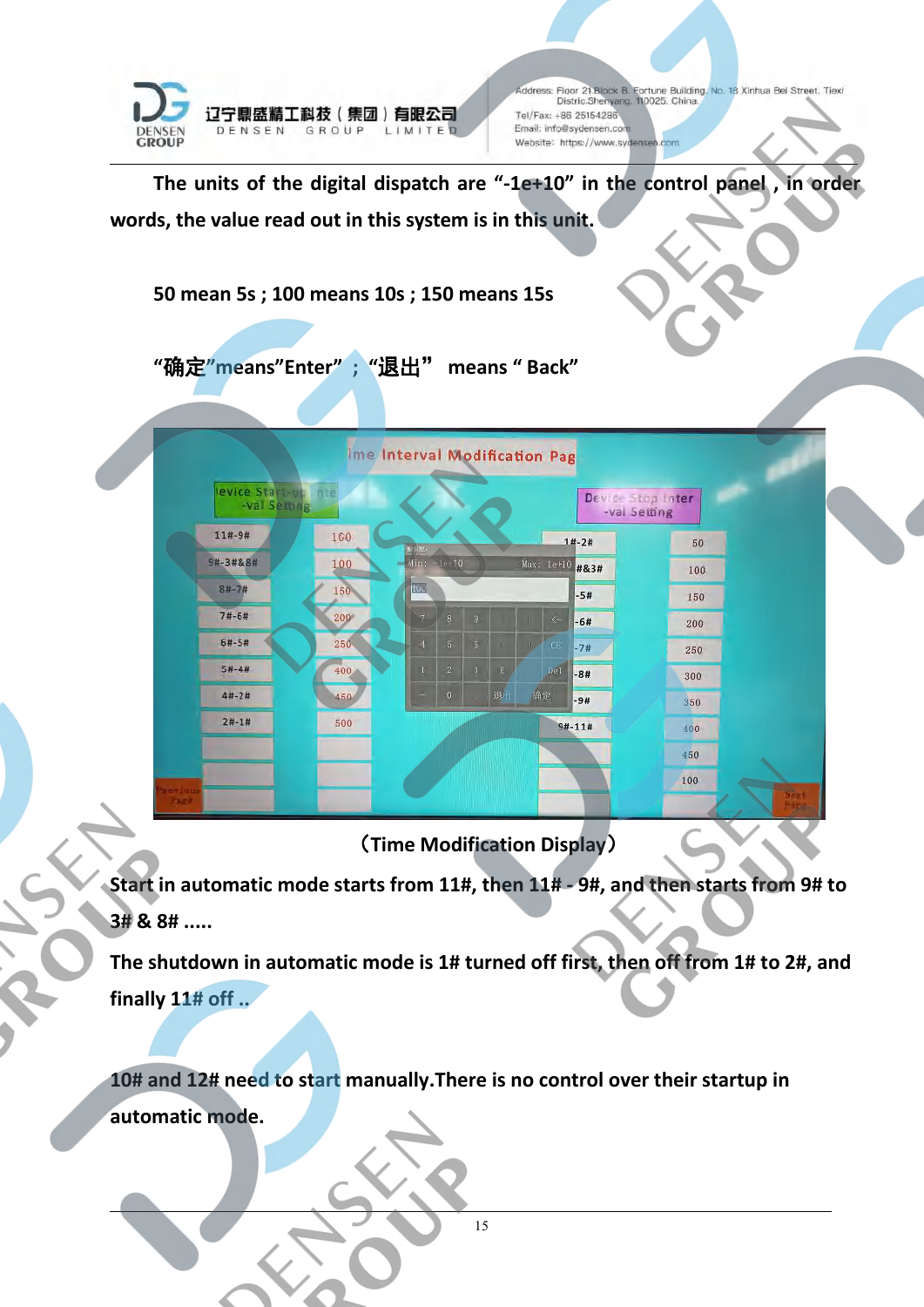

## (**Time Modification Display**)

**Start in automatic mode starts from 11#, then 11# - 9#, and then starts from 9# to 3# & 8# .....**

**The shutdown in automatic mode is 1# turned off first, then off from 1# to 2#, and finally 11# off ..**

**10# and 12# need to start manually.There is no control over their startup in automatic mode.**